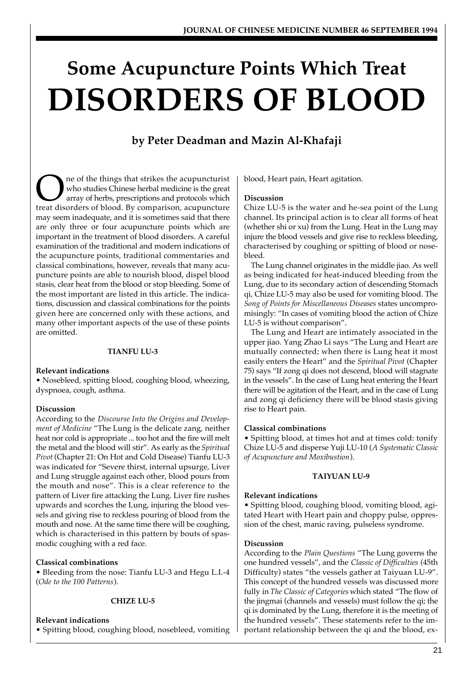# **Some Acupuncture Points Which Treat DISORDERS OF BLOOD**

# **by Peter Deadman and Mazin Al-Khafaji**

The of the things that strikes the acupuncturist<br>who studies Chinese herbal medicine is the great<br>array of herbs, prescriptions and protocols which<br>treat disorders of blood. By comparison, acupuncture ne of the things that strikes the acupuncturist who studies Chinese herbal medicine is the great array of herbs, prescriptions and protocols which may seem inadequate, and it is sometimes said that there are only three or four acupuncture points which are important in the treatment of blood disorders. A careful examination of the traditional and modern indications of the acupuncture points, traditional commentaries and classical combinations, however, reveals that many acupuncture points are able to nourish blood, dispel blood stasis, clear heat from the blood or stop bleeding. Some of the most important are listed in this article. The indications, discussion and classical combinations for the points given here are concerned only with these actions, and many other important aspects of the use of these points are omitted.

# **TIANFU LU-3**

# **Relevant indications**

• Nosebleed, spitting blood, coughing blood, wheezing, dyspnoea, cough, asthma.

# **Discussion**

According to the *Discourse Into the Origins and Development of Medicine* "The Lung is the delicate zang, neither heat nor cold is appropriate ... too hot and the fire will melt the metal and the blood will stir". As early as the *Spiritual Pivot* (Chapter 21: On Hot and Cold Disease) Tianfu LU-3 was indicated for "Severe thirst, internal upsurge, Liver and Lung struggle against each other, blood pours from the mouth and nose". This is a clear reference to the pattern of Liver fire attacking the Lung. Liver fire rushes upwards and scorches the Lung, injuring the blood vessels and giving rise to reckless pouring of blood from the mouth and nose. At the same time there will be coughing, which is characterised in this pattern by bouts of spasmodic coughing with a red face.

# **Classical combinations**

• Bleeding from the nose: Tianfu LU-3 and Hegu L.I.-4 (*Ode to the 100 Patterns*).

# **CHIZE LU-5**

# **Relevant indications**

• Spitting blood, coughing blood, nosebleed, vomiting

blood, Heart pain, Heart agitation.

# **Discussion**

Chize LU-5 is the water and he-sea point of the Lung channel. Its principal action is to clear all forms of heat (whether shi or xu) from the Lung. Heat in the Lung may injure the blood vessels and give rise to reckless bleeding, characterised by coughing or spitting of blood or nosebleed.

The Lung channel originates in the middle jiao. As well as being indicated for heat-induced bleeding from the Lung, due to its secondary action of descending Stomach qi, Chize LU-5 may also be used for vomiting blood. The *Song of Points for Miscellaneous Diseases* states uncompromisingly: "In cases of vomiting blood the action of Chize LU-5 is without comparison".

The Lung and Heart are intimately associated in the upper jiao. Yang Zhao Li says "The Lung and Heart are mutually connected; when there is Lung heat it most easily enters the Heart" and the *Spiritual Pivot* (Chapter 75) says "If zong qi does not descend, blood will stagnate in the vessels". In the case of Lung heat entering the Heart there will be agitation of the Heart, and in the case of Lung and zong qi deficiency there will be blood stasis giving rise to Heart pain.

# **Classical combinations**

• Spitting blood, at times hot and at times cold: tonify Chize LU-5 and disperse Yuji LU-10 (*A Systematic Classic of Acupuncture and Moxibustion*).

# **TAIYUAN LU-9**

# **Relevant indications**

• Spitting blood, coughing blood, vomiting blood, agitated Heart with Heart pain and choppy pulse, oppression of the chest, manic raving, pulseless syndrome.

# **Discussion**

According to the *Plain Questions* "The Lung governs the one hundred vessels", and the *Classic of Difficulties* (45th Difficulty) states "the vessels gather at Taiyuan LU-9". This concept of the hundred vessels was discussed more fully in *The Classic of Categories* which stated "The flow of the jingmai (channels and vessels) must follow the qi; the qi is dominated by the Lung, therefore it is the meeting of the hundred vessels". These statements refer to the important relationship between the qi and the blood, ex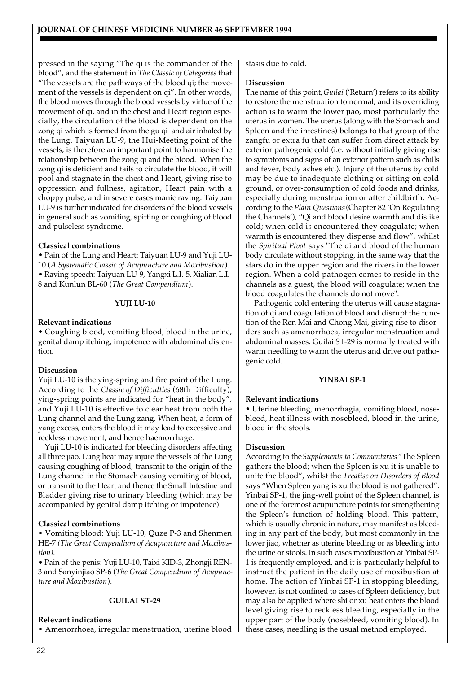pressed in the saying "The qi is the commander of the blood", and the statement in *The Classic of Categories* that "The vessels are the pathways of the blood qi; the movement of the vessels is dependent on qi". In other words, the blood moves through the blood vessels by virtue of the movement of qi, and in the chest and Heart region especially, the circulation of the blood is dependent on the zong qi which is formed from the gu qi and air inhaled by the Lung. Taiyuan LU-9, the Hui-Meeting point of the vessels, is therefore an important point to harmonise the relationship between the zong qi and the blood. When the zong qi is deficient and fails to circulate the blood, it will pool and stagnate in the chest and Heart, giving rise to oppression and fullness, agitation, Heart pain with a choppy pulse, and in severe cases manic raving. Taiyuan LU-9 is further indicated for disorders of the blood vessels in general such as vomiting, spitting or coughing of blood and pulseless syndrome.

# **Classical combinations**

• Pain of the Lung and Heart: Taiyuan LU-9 and Yuji LU-10 (*A Systematic Classic of Acupuncture and Moxibustion*). • Raving speech: Taiyuan LU-9, Yangxi L.I.-5, Xialian L.I.- 8 and Kunlun BL-60 (*The Great Compendium*).

# **YUJI LU-10**

# **Relevant indications**

• Coughing blood, vomiting blood, blood in the urine, genital damp itching, impotence with abdominal distention.

# **Discussion**

Yuji LU-10 is the ying-spring and fire point of the Lung. According to the *Classic of Difficulties* (68th Difficulty), ying-spring points are indicated for "heat in the body", and Yuji LU-10 is effective to clear heat from both the Lung channel and the Lung zang. When heat, a form of yang excess, enters the blood it may lead to excessive and reckless movement, and hence haemorrhage.

Yuji LU-10 is indicated for bleeding disorders affecting all three jiao. Lung heat may injure the vessels of the Lung causing coughing of blood, transmit to the origin of the Lung channel in the Stomach causing vomiting of blood, or transmit to the Heart and thence the Small Intestine and Bladder giving rise to urinary bleeding (which may be accompanied by genital damp itching or impotence).

# **Classical combinations**

• Vomiting blood: Yuji LU-10, Quze P-3 and Shenmen HE-7 *(The Great Compendium of Acupuncture and Moxibustion).*

• Pain of the penis: Yuji LU-10, Taixi KID-3, Zhongji REN-3 and Sanyinjiao SP-6 (*The Great Compendium of Acupuncture and Moxibustion*).

# **GUILAI ST-29**

# **Relevant indications**

• Amenorrhoea, irregular menstruation, uterine blood

stasis due to cold.

#### **Discussion**

The name of this point, *Guilai* ('Return') refers to its ability to restore the menstruation to normal, and its overriding action is to warm the lower jiao, most particularly the uterus in women. The uterus (along with the Stomach and Spleen and the intestines) belongs to that group of the zangfu or extra fu that can suffer from direct attack by exterior pathogenic cold (i.e. without initially giving rise to symptoms and signs of an exterior pattern such as chills and fever, body aches etc.). Injury of the uterus by cold may be due to inadequate clothing or sitting on cold ground, or over-consumption of cold foods and drinks, especially during menstruation or after childbirth. According to the *Plain Questions* (Chapter 82 'On Regulating the Channels'), "Qi and blood desire warmth and dislike cold; when cold is encountered they coagulate; when warmth is encountered they disperse and flow", whilst the *Spiritual Pivot* says "The qi and blood of the human body circulate without stopping, in the same way that the stars do in the upper region and the rivers in the lower region. When a cold pathogen comes to reside in the channels as a guest, the blood will coagulate; when the blood coagulates the channels do not move".

 Pathogenic cold entering the uterus will cause stagnation of qi and coagulation of blood and disrupt the function of the Ren Mai and Chong Mai, giving rise to disorders such as amenorrhoea, irregular menstruation and abdominal masses. Guilai ST-29 is normally treated with warm needling to warm the uterus and drive out pathogenic cold.

#### **YINBAI SP-1**

# **Relevant indications**

• Uterine bleeding, menorrhagia, vomiting blood, nosebleed, heat illness with nosebleed, blood in the urine, blood in the stools.

# **Discussion**

According to the *Supplements to Commentaries* "The Spleen gathers the blood; when the Spleen is xu it is unable to unite the blood", whilst the *Treatise on Disorders of Blood* says "When Spleen yang is xu the blood is not gathered". Yinbai SP-1, the jing-well point of the Spleen channel, is one of the foremost acupuncture points for strengthening the Spleen's function of holding blood. This pattern, which is usually chronic in nature, may manifest as bleeding in any part of the body, but most commonly in the lower jiao, whether as uterine bleeding or as bleeding into the urine or stools. In such cases moxibustion at Yinbai SP-1 is frequently employed, and it is particularly helpful to instruct the patient in the daily use of moxibustion at home. The action of Yinbai SP-1 in stopping bleeding, however, is not confined to cases of Spleen deficiency, but may also be applied where shi or xu heat enters the blood level giving rise to reckless bleeding, especially in the upper part of the body (nosebleed, vomiting blood). In these cases, needling is the usual method employed.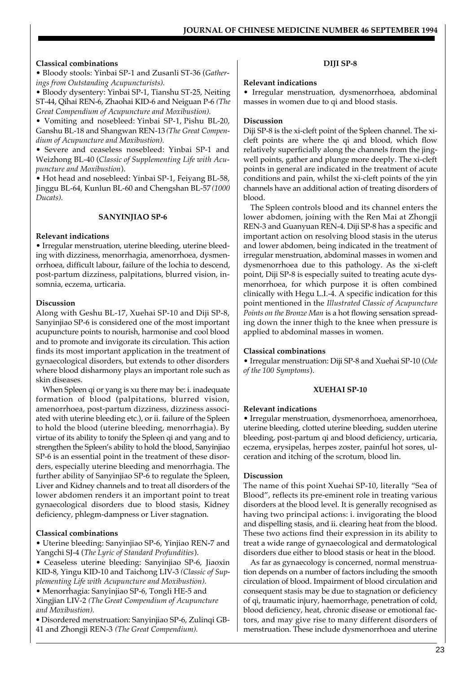# **Classical combinations**

• Bloody stools: Yinbai SP-1 and Zusanli ST-36 (*Gatherings from Outstanding Acupuncturists).*

• Bloody dysentery: Yinbai SP-1, Tianshu ST-25, Neiting ST-44, Qihai REN-6, Zhaohai KID-6 and Neiguan P-6 *(The Great Compendium of Acupuncture and Moxibustion).*

• Vomiting and nosebleed: Yinbai SP-1, Pishu BL-20, Ganshu BL-18 and Shangwan REN-13 *(The Great Compendium of Acupuncture and Moxibustion).*

• Severe and ceaseless nosebleed: Yinbai SP-1 and Weizhong BL-40 (*Classic of Supplementing Life with Acupuncture and Moxibustion*).

• Hot head and nosebleed: Yinbai SP-1, Feiyang BL-58, Jinggu BL-64, Kunlun BL-60 and Chengshan BL-57 *(1000 Ducats).*

#### **SANYINJIAO SP-6**

#### **Relevant indications**

• Irregular menstruation, uterine bleeding, uterine bleeding with dizziness, menorrhagia, amenorrhoea, dysmenorrhoea, difficult labour, failure of the lochia to descend, post-partum dizziness, palpitations, blurred vision, insomnia, eczema, urticaria.

#### **Discussion**

Along with Geshu BL-17, Xuehai SP-10 and Diji SP-8, Sanyinjiao SP-6 is considered one of the most important acupuncture points to nourish, harmonise and cool blood and to promote and invigorate its circulation. This action finds its most important application in the treatment of gynaecological disorders, but extends to other disorders where blood disharmony plays an important role such as skin diseases.

When Spleen qi or yang is xu there may be: i. inadequate formation of blood (palpitations, blurred vision, amenorrhoea, post-partum dizziness, dizziness associated with uterine bleeding etc.), or ii. failure of the Spleen to hold the blood (uterine bleeding, menorrhagia). By virtue of its ability to tonify the Spleen qi and yang and to strengthen the Spleen's ability to hold the blood, Sanyinjiao SP-6 is an essential point in the treatment of these disorders, especially uterine bleeding and menorrhagia. The further ability of Sanyinjiao SP-6 to regulate the Spleen, Liver and Kidney channels and to treat all disorders of the lower abdomen renders it an important point to treat gynaecological disorders due to blood stasis, Kidney deficiency, phlegm-dampness or Liver stagnation.

#### **Classical combinations**

• Uterine bleeding: Sanyinjiao SP-6, Yinjiao REN-7 and Yangchi SJ-4 (*The Lyric of Standard Profundities*).

• Ceaseless uterine bleeding: Sanyinjiao SP-6, Jiaoxin KID-8, Yingu KID-10 and Taichong LIV-3 *(Classic of Supplementing Life with Acupuncture and Moxibustion).*

• Menorrhagia: Sanyinjiao SP-6, Tongli HE-5 and Xingjian LIV-2 *(The Great Compendium of Acupuncture and Moxibustion).*

*•* Disordered menstruation: Sanyinjiao SP-6, Zulinqi GB-41 and Zhongji REN-3 *(The Great Compendium).*

#### **DIJI SP-8**

#### **Relevant indications**

• Irregular menstruation, dysmenorrhoea, abdominal masses in women due to qi and blood stasis.

#### **Discussion**

Diji SP-8 is the xi-cleft point of the Spleen channel. The xicleft points are where the qi and blood, which flow relatively superficially along the channels from the jingwell points, gather and plunge more deeply. The xi-cleft points in general are indicated in the treatment of acute conditions and pain, whilst the xi-cleft points of the yin channels have an additional action of treating disorders of blood.

The Spleen controls blood and its channel enters the lower abdomen, joining with the Ren Mai at Zhongji REN-3 and Guanyuan REN-4. Diji SP-8 has a specific and important action on resolving blood stasis in the uterus and lower abdomen, being indicated in the treatment of irregular menstruation, abdominal masses in women and dysmenorrhoea due to this pathology. As the xi-cleft point, Diji SP-8 is especially suited to treating acute dysmenorrhoea, for which purpose it is often combined clinically with Hegu L.I.-4. A specific indication for this point mentioned in the *Illustrated Classic of Acupuncture Points on the Bronze Man* is a hot flowing sensation spreading down the inner thigh to the knee when pressure is applied to abdominal masses in women.

#### **Classical combinations**

• Irregular menstruation: Diji SP-8 and Xuehai SP-10 (*Ode of the 100 Symptoms*).

#### **XUEHAI SP-10**

#### **Relevant indications**

• Irregular menstruation, dysmenorrhoea, amenorrhoea, uterine bleeding, clotted uterine bleeding, sudden uterine bleeding, post-partum qi and blood deficiency, urticaria, eczema, erysipelas, herpes zoster, painful hot sores, ulceration and itching of the scrotum, blood lin.

#### **Discussion**

The name of this point Xuehai SP-10, literally "Sea of Blood", reflects its pre-eminent role in treating various disorders at the blood level. It is generally recognised as having two principal actions: i. invigorating the blood and dispelling stasis, and ii. clearing heat from the blood. These two actions find their expression in its ability to treat a wide range of gynaecological and dermatological disorders due either to blood stasis or heat in the blood.

As far as gynaecology is concerned, normal menstruation depends on a number of factors including the smooth circulation of blood. Impairment of blood circulation and consequent stasis may be due to stagnation or deficiency of qi, traumatic injury, haemorrhage, penetration of cold, blood deficiency, heat, chronic disease or emotional factors, and may give rise to many different disorders of menstruation. These include dysmenorrhoea and uterine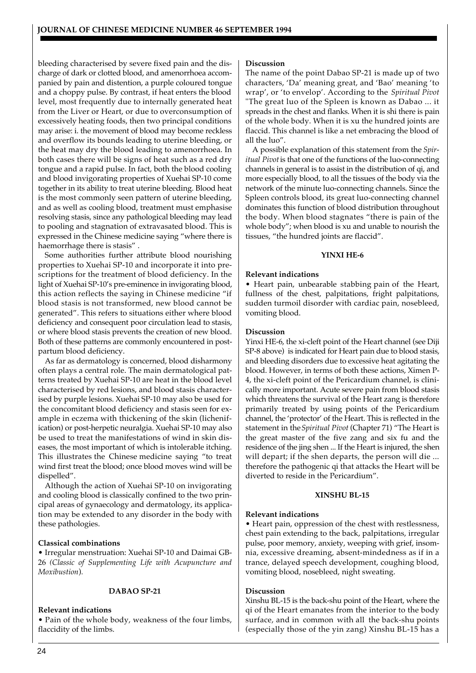bleeding characterised by severe fixed pain and the discharge of dark or clotted blood, and amenorrhoea accompanied by pain and distention, a purple coloured tongue and a choppy pulse. By contrast, if heat enters the blood level, most frequently due to internally generated heat from the Liver or Heart, or due to overconsumption of excessively heating foods, then two principal conditions may arise: i. the movement of blood may become reckless and overflow its bounds leading to uterine bleeding, or the heat may dry the blood leading to amenorrhoea. In both cases there will be signs of heat such as a red dry tongue and a rapid pulse. In fact, both the blood cooling and blood invigorating properties of Xuehai SP-10 come together in its ability to treat uterine bleeding. Blood heat is the most commonly seen pattern of uterine bleeding, and as well as cooling blood, treatment must emphasise resolving stasis, since any pathological bleeding may lead to pooling and stagnation of extravasated blood. This is expressed in the Chinese medicine saying "where there is haemorrhage there is stasis" .

Some authorities further attribute blood nourishing properties to Xuehai SP-10 and incorporate it into prescriptions for the treatment of blood deficiency. In the light of Xuehai SP-10's pre-eminence in invigorating blood, this action reflects the saying in Chinese medicine "if blood stasis is not transformed, new blood cannot be generated". This refers to situations either where blood deficiency and consequent poor circulation lead to stasis, or where blood stasis prevents the creation of new blood. Both of these patterns are commonly encountered in postpartum blood deficiency.

As far as dermatology is concerned, blood disharmony often plays a central role. The main dermatological patterns treated by Xuehai SP-10 are heat in the blood level characterised by red lesions, and blood stasis characterised by purple lesions. Xuehai SP-10 may also be used for the concomitant blood deficiency and stasis seen for example in eczema with thickening of the skin (lichenification) or post-herpetic neuralgia. Xuehai SP-10 may also be used to treat the manifestations of wind in skin diseases, the most important of which is intolerable itching. This illustrates the Chinese medicine saying "to treat wind first treat the blood; once blood moves wind will be dispelled".

Although the action of Xuehai SP-10 on invigorating and cooling blood is classically confined to the two principal areas of gynaecology and dermatology, its application may be extended to any disorder in the body with these pathologies.

# **Classical combinations**

• Irregular menstruation: Xuehai SP-10 and Daimai GB-26 *(Classic of Supplementing Life with Acupuncture and Moxibustion*)*.*

#### **DABAO SP-21**

#### **Relevant indications**

• Pain of the whole body, weakness of the four limbs, flaccidity of the limbs.

#### **Discussion**

The name of the point Dabao SP-21 is made up of two characters, 'Da' meaning great, and 'Bao' meaning 'to wrap', or 'to envelop'. According to the *Spiritual Pivot* "The great luo of the Spleen is known as Dabao ... it spreads in the chest and flanks. When it is shi there is pain of the whole body. When it is xu the hundred joints are flaccid. This channel is like a net embracing the blood of all the luo".

A possible explanation of this statement from the *Spiritual Pivot* is that one of the functions of the luo-connecting channels in general is to assist in the distribution of qi, and more especially blood, to all the tissues of the body via the network of the minute luo-connecting channels. Since the Spleen controls blood, its great luo-connecting channel dominates this function of blood distribution throughout the body. When blood stagnates "there is pain of the whole body"; when blood is xu and unable to nourish the tissues, "the hundred joints are flaccid".

#### **YINXI HE-6**

# **Relevant indications**

• Heart pain, unbearable stabbing pain of the Heart, fullness of the chest, palpitations, fright palpitations, sudden turmoil disorder with cardiac pain, nosebleed, vomiting blood.

#### **Discussion**

Yinxi HE-6, the xi-cleft point of the Heart channel (see Diji SP-8 above) is indicated for Heart pain due to blood stasis, and bleeding disorders due to excessive heat agitating the blood. However, in terms of both these actions, Ximen P-4, the xi-cleft point of the Pericardium channel, is clinically more important. Acute severe pain from blood stasis which threatens the survival of the Heart zang is therefore primarily treated by using points of the Pericardium channel, the 'protector' of the Heart. This is reflected in the statement in the *Spiritual Pivot* (Chapter 71) "The Heart is the great master of the five zang and six fu and the residence of the jing shen ... If the Heart is injured, the shen will depart; if the shen departs, the person will die ... therefore the pathogenic qi that attacks the Heart will be diverted to reside in the Pericardium".

#### **XINSHU BL-15**

#### **Relevant indications**

• Heart pain, oppression of the chest with restlessness, chest pain extending to the back, palpitations, irregular pulse, poor memory, anxiety, weeping with grief, insomnia, excessive dreaming, absent-mindedness as if in a trance, delayed speech development, coughing blood, vomiting blood, nosebleed, night sweating.

#### **Discussion**

Xinshu BL-15 is the back-shu point of the Heart, where the qi of the Heart emanates from the interior to the body surface, and in common with all the back-shu points (especially those of the yin zang) Xinshu BL-15 has a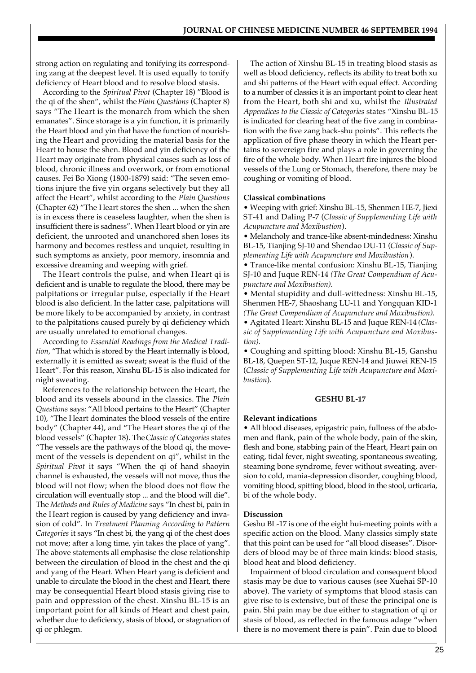strong action on regulating and tonifying its corresponding zang at the deepest level. It is used equally to tonify deficiency of Heart blood and to resolve blood stasis.

According to the *Spiritual Pivot* (Chapter 18) "Blood is the qi of the shen", whilst the *Plain Questions* (Chapter 8) says "The Heart is the monarch from which the shen emanates". Since storage is a yin function, it is primarily the Heart blood and yin that have the function of nourishing the Heart and providing the material basis for the Heart to house the shen. Blood and yin deficiency of the Heart may originate from physical causes such as loss of blood, chronic illness and overwork, or from emotional causes. Fei Bo Xiong (1800-1879) said: "The seven emotions injure the five yin organs selectively but they all affect the Heart", whilst according to the *Plain Questions* (Chapter 62) "The Heart stores the shen ... when the shen is in excess there is ceaseless laughter, when the shen is insufficient there is sadness". When Heart blood or yin are deficient, the unrooted and unanchored shen loses its harmony and becomes restless and unquiet, resulting in such symptoms as anxiety, poor memory, insomnia and excessive dreaming and weeping with grief.

The Heart controls the pulse, and when Heart qi is deficient and is unable to regulate the blood, there may be palpitations or irregular pulse, especially if the Heart blood is also deficient. In the latter case, palpitations will be more likely to be accompanied by anxiety, in contrast to the palpitations caused purely by qi deficiency which are usually unrelated to emotional changes.

According to *Essential Readings from the Medical Tradition*, "That which is stored by the Heart internally is blood, externally it is emitted as sweat; sweat is the fluid of the Heart". For this reason, Xinshu BL-15 is also indicated for night sweating.

References to the relationship between the Heart, the blood and its vessels abound in the classics. The *Plain Questions* says: "All blood pertains to the Heart" (Chapter 10), "The Heart dominates the blood vessels of the entire body" (Chapter 44), and "The Heart stores the qi of the blood vessels" (Chapter 18). The *Classic of Categories* states "The vessels are the pathways of the blood qi, the movement of the vessels is dependent on qi", whilst in the *Spiritual Pivot* it says "When the qi of hand shaoyin channel is exhausted, the vessels will not move, thus the blood will not flow; when the blood does not flow the circulation will eventually stop ... and the blood will die". The *Methods and Rules of Medicine* says "In chest bi, pain in the Heart region is caused by yang deficiency and invasion of cold". In *Treatment Planning According to Pattern Categories* it says "In chest bi, the yang qi of the chest does not move; after a long time, yin takes the place of yang". The above statements all emphasise the close relationship between the circulation of blood in the chest and the qi and yang of the Heart. When Heart yang is deficient and unable to circulate the blood in the chest and Heart, there may be consequential Heart blood stasis giving rise to pain and oppression of the chest. Xinshu BL-15 is an important point for all kinds of Heart and chest pain, whether due to deficiency, stasis of blood, or stagnation of qi or phlegm.

The action of Xinshu BL-15 in treating blood stasis as well as blood deficiency, reflects its ability to treat both xu and shi patterns of the Heart with equal effect. According to a number of classics it is an important point to clear heat from the Heart, both shi and xu, whilst the *Illustrated Appendices to the Classic of Categories* states "Xinshu BL-15 is indicated for clearing heat of the five zang in combination with the five zang back-shu points". This reflects the application of five phase theory in which the Heart pertains to sovereign fire and plays a role in governing the fire of the whole body. When Heart fire injures the blood vessels of the Lung or Stomach, therefore, there may be coughing or vomiting of blood.

#### **Classical combinations**

• Weeping with grief: Xinshu BL-15, Shenmen HE-7, Jiexi ST-41 and Daling P-7 (*Classic of Supplementing Life with Acupuncture and Moxibustion*).

• Melancholy and trance-like absent-mindedness: Xinshu BL-15, Tianjing SJ-10 and Shendao DU-11 (*Classic of Supplementing Life with Acupuncture and Moxibustion*).

• Trance-like mental confusion: Xinshu BL-15, Tianjing SJ-10 and Juque REN-14 *(The Great Compendium of Acupuncture and Moxibustion).*

• Mental stupidity and dull-wittedness: Xinshu BL-15, Shenmen HE-7, Shaoshang LU-11 and Yongquan KID-1 *(The Great Compendium of Acupuncture and Moxibustion).*

• Agitated Heart: Xinshu BL-15 and Juque REN-14 *(Classic of Supplementing Life with Acupuncture and Moxibustion).*

• Coughing and spitting blood: Xinshu BL-15, Ganshu BL-18, Quepen ST-12, Juque REN-14 and Jiuwei REN-15 (*Classic of Supplementing Life with Acupuncture and Moxibustion*).

#### **GESHU BL-17**

#### **Relevant indications**

• All blood diseases, epigastric pain, fullness of the abdomen and flank, pain of the whole body, pain of the skin, flesh and bone, stabbing pain of the Heart, Heart pain on eating, tidal fever, night sweating, spontaneous sweating, steaming bone syndrome, fever without sweating, aversion to cold, mania-depression disorder, coughing blood, vomiting blood, spitting blood, blood in the stool, urticaria, bi of the whole body.

#### **Discussion**

Geshu BL-17 is one of the eight hui-meeting points with a specific action on the blood. Many classics simply state that this point can be used for "all blood diseases". Disorders of blood may be of three main kinds: blood stasis, blood heat and blood deficiency.

Impairment of blood circulation and consequent blood stasis may be due to various causes (see Xuehai SP-10 above). The variety of symptoms that blood stasis can give rise to is extensive, but of these the principal one is pain. Shi pain may be due either to stagnation of qi or stasis of blood, as reflected in the famous adage "when there is no movement there is pain". Pain due to blood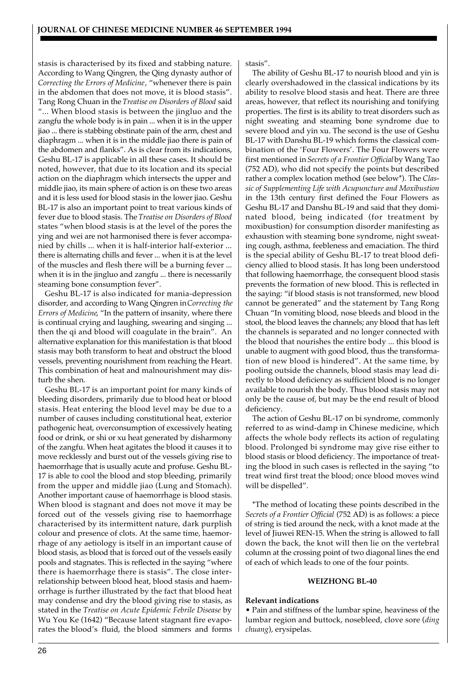stasis is characterised by its fixed and stabbing nature. According to Wang Qingren, the Qing dynasty author of *Correcting the Errors of Medicine*, "whenever there is pain in the abdomen that does not move, it is blood stasis". Tang Rong Chuan in the *Treatise on Disorders of Blood* said "... When blood stasis is between the jingluo and the zangfu the whole body is in pain ... when it is in the upper jiao ... there is stabbing obstinate pain of the arm, chest and diaphragm ... when it is in the middle jiao there is pain of the abdomen and flanks". As is clear from its indications, Geshu BL-17 is applicable in all these cases. It should be noted, however, that due to its location and its special action on the diaphragm which intersects the upper and middle jiao, its main sphere of action is on these two areas and it is less used for blood stasis in the lower jiao. Geshu BL-17 is also an important point to treat various kinds of fever due to blood stasis. The *Treatise on Disorders of Blood* states "when blood stasis is at the level of the pores the ying and wei are not harmonised there is fever accompanied by chills ... when it is half-interior half-exterior ... there is alternating chills and fever ... when it is at the level of the muscles and flesh there will be a burning fever ... when it is in the jingluo and zangfu ... there is necessarily steaming bone consumption fever".

Geshu BL-17 is also indicated for mania-depression disorder, and according to Wang Qingren in *Correcting the Errors of Medicine*, "In the pattern of insanity, where there is continual crying and laughing, swearing and singing ... then the qi and blood will coagulate in the brain". An alternative explanation for this manifestation is that blood stasis may both transform to heat and obstruct the blood vessels, preventing nourishment from reaching the Heart. This combination of heat and malnourishment may disturb the shen.

Geshu BL-17 is an important point for many kinds of bleeding disorders, primarily due to blood heat or blood stasis. Heat entering the blood level may be due to a number of causes including constitutional heat, exterior pathogenic heat, overconsumption of excessively heating food or drink, or shi or xu heat generated by disharmony of the zangfu. When heat agitates the blood it causes it to move recklessly and burst out of the vessels giving rise to haemorrhage that is usually acute and profuse. Geshu BL-17 is able to cool the blood and stop bleeding, primarily from the upper and middle jiao (Lung and Stomach). Another important cause of haemorrhage is blood stasis. When blood is stagnant and does not move it may be forced out of the vessels giving rise to haemorrhage characterised by its intermittent nature, dark purplish colour and presence of clots. At the same time, haemorrhage of any aetiology is itself in an important cause of blood stasis, as blood that is forced out of the vessels easily pools and stagnates. This is reflected in the saying "where there is haemorrhage there is stasis". The close interrelationship between blood heat, blood stasis and haemorrhage is further illustrated by the fact that blood heat may condense and dry the blood giving rise to stasis, as stated in the *Treatise on Acute Epidemic Febrile Disease* by Wu You Ke (1642) "Because latent stagnant fire evaporates the blood's fluid, the blood simmers and forms stasis".

The ability of Geshu BL-17 to nourish blood and yin is clearly overshadowed in the classical indications by its ability to resolve blood stasis and heat. There are three areas, however, that reflect its nourishing and tonifying properties. The first is its ability to treat disorders such as night sweating and steaming bone syndrome due to severe blood and yin xu. The second is the use of Geshu BL-17 with Danshu BL-19 which forms the classical combination of the 'Four Flowers'. The Four Flowers were first mentioned in *Secrets of a Frontier Official* by Wang Tao (752 AD), who did not specify the points but described rather a complex location method (see below\*). The *Classic of Supplementing Life with Acupuncture and Moxibustion* in the 13th century first defined the Four Flowers as Geshu BL-17 and Danshu BL-19 and said that they dominated blood, being indicated (for treatment by moxibustion) for consumption disorder manifesting as exhaustion with steaming bone syndrome, night sweating cough, asthma, feebleness and emaciation. The third is the special ability of Geshu BL-17 to treat blood deficiency allied to blood stasis. It has long been understood that following haemorrhage, the consequent blood stasis prevents the formation of new blood. This is reflected in the saying: "if blood stasis is not transformed, new blood cannot be generated" and the statement by Tang Rong Chuan "In vomiting blood, nose bleeds and blood in the stool, the blood leaves the channels; any blood that has left the channels is separated and no longer connected with the blood that nourishes the entire body ... this blood is unable to augment with good blood, thus the transformation of new blood is hindered". At the same time, by pooling outside the channels, blood stasis may lead directly to blood deficiency as sufficient blood is no longer available to nourish the body. Thus blood stasis may not only be the cause of, but may be the end result of blood deficiency.

The action of Geshu BL-17 on bi syndrome, commonly referred to as wind-damp in Chinese medicine, which affects the whole body reflects its action of regulating blood. Prolonged bi syndrome may give rise either to blood stasis or blood deficiency. The importance of treating the blood in such cases is reflected in the saying "to treat wind first treat the blood; once blood moves wind will be dispelled".

\*The method of locating these points described in the *Secrets of a Frontier Official* (752 AD) is as follows: a piece of string is tied around the neck, with a knot made at the level of Jiuwei REN-15. When the string is allowed to fall down the back, the knot will then lie on the vertebral column at the crossing point of two diagonal lines the end of each of which leads to one of the four points.

# **WEIZHONG BL-40**

#### **Relevant indications**

• Pain and stiffness of the lumbar spine, heaviness of the lumbar region and buttock, nosebleed, clove sore (*ding chuang*), erysipelas.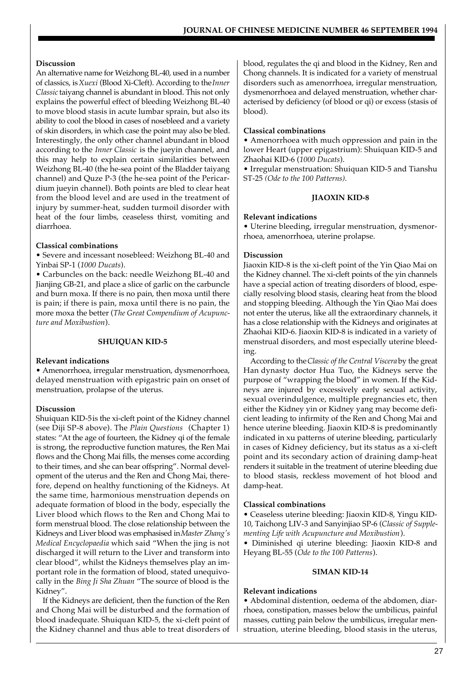# **Discussion**

An alternative name for Weizhong BL-40, used in a number of classics, is *Xuexi* (Blood Xi-Cleft). According to the *Inner Classic* taiyang channel is abundant in blood. This not only explains the powerful effect of bleeding Weizhong BL-40 to move blood stasis in acute lumbar sprain, but also its ability to cool the blood in cases of nosebleed and a variety of skin disorders, in which case the point may also be bled. Interestingly, the only other channel abundant in blood according to the *Inner Classic* is the jueyin channel, and this may help to explain certain similarities between Weizhong BL-40 (the he-sea point of the Bladder taiyang channel) and Quze P-3 (the he-sea point of the Pericardium jueyin channel). Both points are bled to clear heat from the blood level and are used in the treatment of injury by summer-heat, sudden turmoil disorder with heat of the four limbs, ceaseless thirst, vomiting and diarrhoea.

# **Classical combinations**

• Severe and incessant nosebleed: Weizhong BL-40 and Yinbai SP-1 (*1000 Ducats*).

• Carbuncles on the back: needle Weizhong BL-40 and Jianjing GB-21, and place a slice of garlic on the carbuncle and burn moxa. If there is no pain, then moxa until there is pain; if there is pain, moxa until there is no pain, the more moxa the better (*The Great Compendium of Acupuncture and Moxibustion*).

# **SHUIQUAN KID-5**

#### **Relevant indications**

• Amenorrhoea, irregular menstruation, dysmenorrhoea, delayed menstruation with epigastric pain on onset of menstruation, prolapse of the uterus.

# **Discussion**

Shuiquan KID-5is the xi-cleft point of the Kidney channel (see Diji SP-8 above). The *Plain Questions* (Chapter 1) states: "At the age of fourteen, the Kidney qi of the female is strong, the reproductive function matures, the Ren Mai flows and the Chong Mai fills, the menses come according to their times, and she can bear offspring". Normal development of the uterus and the Ren and Chong Mai, therefore, depend on healthy functioning of the Kidneys. At the same time, harmonious menstruation depends on adequate formation of blood in the body, especially the Liver blood which flows to the Ren and Chong Mai to form menstrual blood. The close relationship between the Kidneys and Liver blood was emphasised in *Master Zhang's Medical Encyclopaedia* which said "When the jing is not discharged it will return to the Liver and transform into clear blood", whilst the Kidneys themselves play an important role in the formation of blood, stated unequivocally in the *Bing Ji Sha Zhuan* "The source of blood is the Kidney".

If the Kidneys are deficient, then the function of the Ren and Chong Mai will be disturbed and the formation of blood inadequate. Shuiquan KID-5, the xi-cleft point of the Kidney channel and thus able to treat disorders of

blood, regulates the qi and blood in the Kidney, Ren and Chong channels. It is indicated for a variety of menstrual disorders such as amenorrhoea, irregular menstruation, dysmenorrhoea and delayed menstruation, whether characterised by deficiency (of blood or qi) or excess (stasis of blood).

# **Classical combinations**

• Amenorrhoea with much oppression and pain in the lower Heart (upper epigastrium): Shuiquan KID-5 and Zhaohai KID-6 (*1000 Ducats*).

• Irregular menstruation: Shuiquan KID-5 and Tianshu ST-25 *(Ode to the 100 Patterns).*

# **JIAOXIN KID-8**

# **Relevant indications**

• Uterine bleeding, irregular menstruation, dysmenorrhoea, amenorrhoea, uterine prolapse.

# **Discussion**

Jiaoxin KID-8 is the xi-cleft point of the Yin Qiao Mai on the Kidney channel. The xi-cleft points of the yin channels have a special action of treating disorders of blood, especially resolving blood stasis, clearing heat from the blood and stopping bleeding. Although the Yin Qiao Mai does not enter the uterus, like all the extraordinary channels, it has a close relationship with the Kidneys and originates at Zhaohai KID-6. Jiaoxin KID-8 is indicated in a variety of menstrual disorders, and most especially uterine bleeding.

According to the *Classic of the Central Viscera* by the great Han dynasty doctor Hua Tuo, the Kidneys serve the purpose of "wrapping the blood" in women. If the Kidneys are injured by excessively early sexual activity, sexual overindulgence, multiple pregnancies etc, then either the Kidney yin or Kidney yang may become deficient leading to infirmity of the Ren and Chong Mai and hence uterine bleeding. Jiaoxin KID-8 is predominantly indicated in xu patterns of uterine bleeding, particularly in cases of Kidney deficiency, but its status as a xi-cleft point and its secondary action of draining damp-heat renders it suitable in the treatment of uterine bleeding due to blood stasis, reckless movement of hot blood and damp-heat.

# **Classical combinations**

• Ceaseless uterine bleeding: Jiaoxin KID-8, Yingu KID-10, Taichong LIV-3 and Sanyinjiao SP-6 (*Classic of Supplementing Life with Acupuncture and Moxibustion*).

• Diminished qi uterine bleeding: Jiaoxin KID-8 and Heyang BL-55 (*Ode to the 100 Patterns*).

#### **SIMAN KID-14**

#### **Relevant indications**

• Abdominal distention, oedema of the abdomen, diarrhoea, constipation, masses below the umbilicus, painful masses, cutting pain below the umbilicus, irregular menstruation, uterine bleeding, blood stasis in the uterus,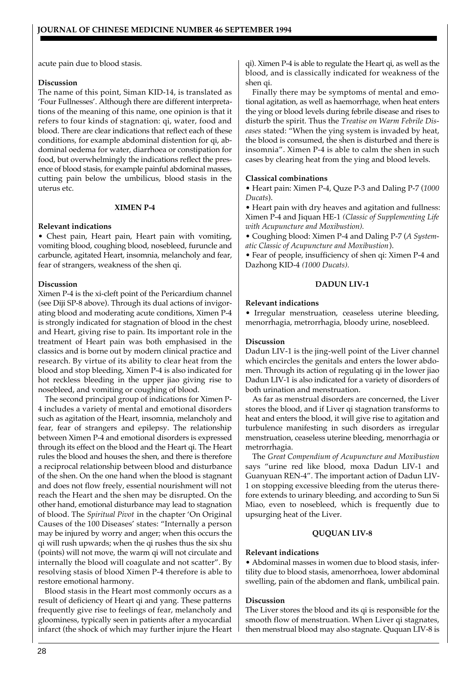acute pain due to blood stasis.

#### **Discussion**

The name of this point, Siman KID-14, is translated as 'Four Fullnesses'. Although there are different interpretations of the meaning of this name, one opinion is that it refers to four kinds of stagnation: qi, water, food and blood. There are clear indications that reflect each of these conditions, for example abdominal distention for qi, abdominal oedema for water, diarrhoea or constipation for food, but overwhelmingly the indications reflect the presence of blood stasis, for example painful abdominal masses, cutting pain below the umbilicus, blood stasis in the uterus etc.

#### **XIMEN P-4**

#### **Relevant indications**

• Chest pain, Heart pain, Heart pain with vomiting, vomiting blood, coughing blood, nosebleed, furuncle and carbuncle, agitated Heart, insomnia, melancholy and fear, fear of strangers, weakness of the shen qi.

#### **Discussion**

Ximen P-4 is the xi-cleft point of the Pericardium channel (see Diji SP-8 above). Through its dual actions of invigorating blood and moderating acute conditions, Ximen P-4 is strongly indicated for stagnation of blood in the chest and Heart, giving rise to pain. Its important role in the treatment of Heart pain was both emphasised in the classics and is borne out by modern clinical practice and research. By virtue of its ability to clear heat from the blood and stop bleeding, Ximen P-4 is also indicated for hot reckless bleeding in the upper jiao giving rise to nosebleed, and vomiting or coughing of blood.

The second principal group of indications for Ximen P-4 includes a variety of mental and emotional disorders such as agitation of the Heart, insomnia, melancholy and fear, fear of strangers and epilepsy. The relationship between Ximen P-4 and emotional disorders is expressed through its effect on the blood and the Heart qi. The Heart rules the blood and houses the shen, and there is therefore a reciprocal relationship between blood and disturbance of the shen. On the one hand when the blood is stagnant and does not flow freely, essential nourishment will not reach the Heart and the shen may be disrupted. On the other hand, emotional disturbance may lead to stagnation of blood. The *Spiritual Pivot* in the chapter 'On Original Causes of the 100 Diseases' states: "Internally a person may be injured by worry and anger; when this occurs the qi will rush upwards; when the qi rushes thus the six shu (points) will not move, the warm qi will not circulate and internally the blood will coagulate and not scatter". By resolving stasis of blood Ximen P-4 therefore is able to restore emotional harmony.

Blood stasis in the Heart most commonly occurs as a result of deficiency of Heart qi and yang. These patterns frequently give rise to feelings of fear, melancholy and gloominess, typically seen in patients after a myocardial infarct (the shock of which may further injure the Heart qi). Ximen P-4 is able to regulate the Heart qi, as well as the blood, and is classically indicated for weakness of the shen qi.

Finally there may be symptoms of mental and emotional agitation, as well as haemorrhage, when heat enters the ying or blood levels during febrile disease and rises to disturb the spirit. Thus the *Treatise on Warm Febrile Diseases* stated: "When the ying system is invaded by heat, the blood is consumed, the shen is disturbed and there is insomnia". Ximen P-4 is able to calm the shen in such cases by clearing heat from the ying and blood levels.

#### **Classical combinations**

• Heart pain: Ximen P-4, Quze P-3 and Daling P-7 (*1000 Ducats*).

• Heart pain with dry heaves and agitation and fullness: Ximen P-4 and Jiquan HE-1 *(Classic of Supplementing Life with Acupuncture and Moxibustion).*

• Coughing blood: Ximen P-4 and Daling P-7 (*A Systematic Classic of Acupuncture and Moxibustion*).

• Fear of people, insufficiency of shen qi: Ximen P-4 and Dazhong KID-4 *(1000 Ducats).*

#### **DADUN LIV-1**

#### **Relevant indications**

• Irregular menstruation, ceaseless uterine bleeding, menorrhagia, metrorrhagia, bloody urine, nosebleed.

#### **Discussion**

Dadun LIV-1 is the jing-well point of the Liver channel which encircles the genitals and enters the lower abdomen. Through its action of regulating qi in the lower jiao Dadun LIV-1 is also indicated for a variety of disorders of both urination and menstruation.

As far as menstrual disorders are concerned, the Liver stores the blood, and if Liver qi stagnation transforms to heat and enters the blood, it will give rise to agitation and turbulence manifesting in such disorders as irregular menstruation, ceaseless uterine bleeding, menorrhagia or metrorrhagia.

The *Great Compendium of Acupuncture and Moxibustion* says "urine red like blood, moxa Dadun LIV-1 and Guanyuan REN-4". The important action of Dadun LIV-1 on stopping excessive bleeding from the uterus therefore extends to urinary bleeding, and according to Sun Si Miao, even to nosebleed, which is frequently due to upsurging heat of the Liver.

#### **QUQUAN LIV-8**

#### **Relevant indications**

• Abdominal masses in women due to blood stasis, infertility due to blood stasis, amenorrhoea, lower abdominal swelling, pain of the abdomen and flank, umbilical pain.

#### **Discussion**

The Liver stores the blood and its qi is responsible for the smooth flow of menstruation. When Liver qi stagnates, then menstrual blood may also stagnate. Ququan LIV-8 is